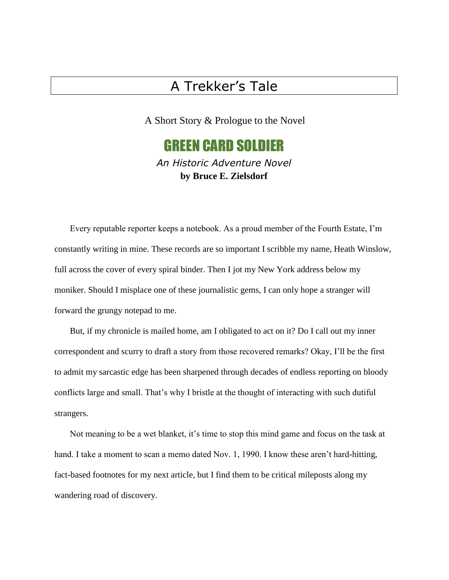# A Trekker's Tale

A Short Story & Prologue to the Novel

GREEN CARD SOLDIER *An Historic Adventure Novel* **by Bruce E. Zielsdorf**

Every reputable reporter keeps a notebook. As a proud member of the Fourth Estate, I'm constantly writing in mine. These records are so important I scribble my name, Heath Winslow, full across the cover of every spiral binder. Then I jot my New York address below my moniker. Should I misplace one of these journalistic gems, I can only hope a stranger will forward the grungy notepad to me.

But, if my chronicle is mailed home, am I obligated to act on it? Do I call out my inner correspondent and scurry to draft a story from those recovered remarks? Okay, I'll be the first to admit my sarcastic edge has been sharpened through decades of endless reporting on bloody conflicts large and small. That's why I bristle at the thought of interacting with such dutiful strangers.

Not meaning to be a wet blanket, it's time to stop this mind game and focus on the task at hand. I take a moment to scan a memo dated Nov. 1, 1990. I know these aren't hard-hitting, fact-based footnotes for my next article, but I find them to be critical mileposts along my wandering road of discovery.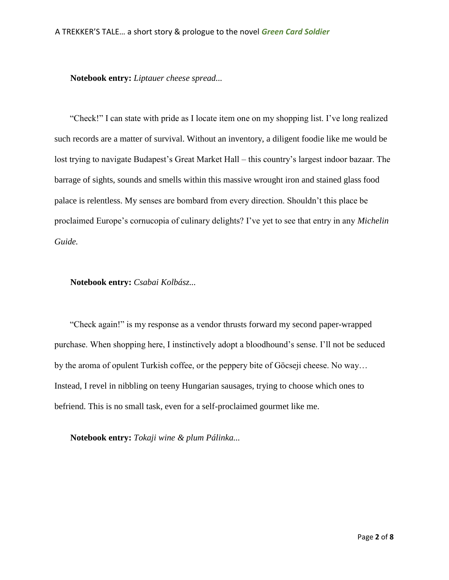**Notebook entry:** *Liptauer cheese spread...*

"Check!" I can state with pride as I locate item one on my shopping list. I've long realized such records are a matter of survival. Without an inventory, a diligent foodie like me would be lost trying to navigate Budapest's Great Market Hall – this country's largest indoor bazaar. The barrage of sights, sounds and smells within this massive wrought iron and stained glass food palace is relentless. My senses are bombard from every direction. Shouldn't this place be proclaimed Europe's cornucopia of culinary delights? I've yet to see that entry in any *Michelin Guide.* 

## **Notebook entry:** *Csabai Kolbász...*

"Check again!" is my response as a vendor thrusts forward my second paper-wrapped purchase. When shopping here, I instinctively adopt a bloodhound's sense. I'll not be seduced by the aroma of opulent Turkish coffee, or the peppery bite of Göcseji cheese. No way… Instead, I revel in nibbling on teeny Hungarian sausages, trying to choose which ones to befriend. This is no small task, even for a self-proclaimed gourmet like me.

**Notebook entry:** *Tokaji wine & plum Pálinka...*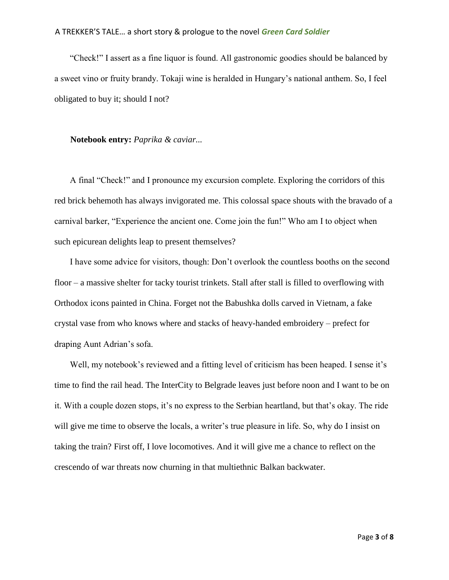"Check!" I assert as a fine liquor is found. All gastronomic goodies should be balanced by a sweet vino or fruity brandy. Tokaji wine is heralded in Hungary's national anthem. So, I feel obligated to buy it; should I not?

#### **Notebook entry:** *Paprika & caviar...*

A final "Check!" and I pronounce my excursion complete. Exploring the corridors of this red brick behemoth has always invigorated me. This colossal space shouts with the bravado of a carnival barker, "Experience the ancient one. Come join the fun!" Who am I to object when such epicurean delights leap to present themselves?

I have some advice for visitors, though: Don't overlook the countless booths on the second floor – a massive shelter for tacky tourist trinkets. Stall after stall is filled to overflowing with Orthodox icons painted in China. Forget not the Babushka dolls carved in Vietnam, a fake crystal vase from who knows where and stacks of heavy-handed embroidery – prefect for draping Aunt Adrian's sofa.

Well, my notebook's reviewed and a fitting level of criticism has been heaped. I sense it's time to find the rail head. The InterCity to Belgrade leaves just before noon and I want to be on it. With a couple dozen stops, it's no express to the Serbian heartland, but that's okay. The ride will give me time to observe the locals, a writer's true pleasure in life. So, why do I insist on taking the train? First off, I love locomotives. And it will give me a chance to reflect on the crescendo of war threats now churning in that multiethnic Balkan backwater.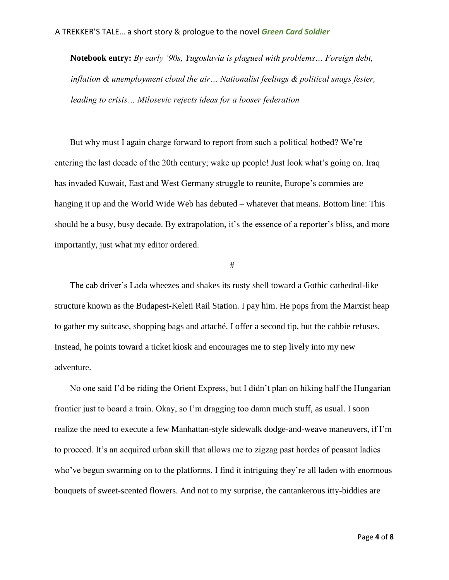#### A TREKKER'S TALE… a short story & prologue to the novel *Green Card Soldier*

**Notebook entry:** *By early '90s, Yugoslavia is plagued with problems… Foreign debt, inflation & unemployment cloud the air… Nationalist feelings & political snags fester, leading to crisis… Milosevic rejects ideas for a looser federation*

But why must I again charge forward to report from such a political hotbed? We're entering the last decade of the 20th century; wake up people! Just look what's going on. Iraq has invaded Kuwait, East and West Germany struggle to reunite, Europe's commies are hanging it up and the World Wide Web has debuted – whatever that means. Bottom line: This should be a busy, busy decade. By extrapolation, it's the essence of a reporter's bliss, and more importantly, just what my editor ordered.

#

The cab driver's Lada wheezes and shakes its rusty shell toward a Gothic cathedral-like structure known as the Budapest-Keleti Rail Station. I pay him. He pops from the Marxist heap to gather my suitcase, shopping bags and attaché. I offer a second tip, but the cabbie refuses. Instead, he points toward a ticket kiosk and encourages me to step lively into my new adventure.

No one said I'd be riding the Orient Express, but I didn't plan on hiking half the Hungarian frontier just to board a train. Okay, so I'm dragging too damn much stuff, as usual. I soon realize the need to execute a few Manhattan-style sidewalk dodge-and-weave maneuvers, if I'm to proceed. It's an acquired urban skill that allows me to zigzag past hordes of peasant ladies who've begun swarming on to the platforms. I find it intriguing they're all laden with enormous bouquets of sweet-scented flowers. And not to my surprise, the cantankerous itty-biddies are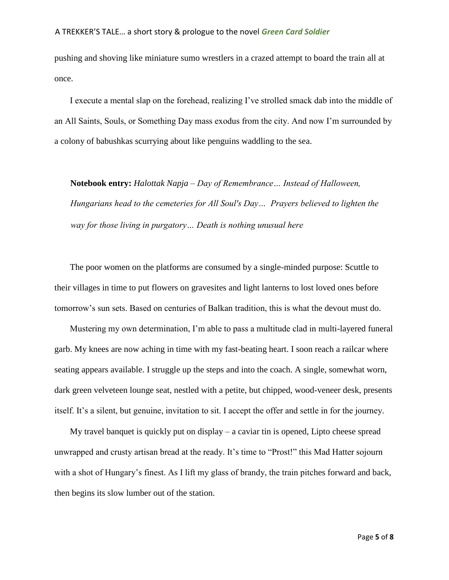pushing and shoving like miniature sumo wrestlers in a crazed attempt to board the train all at once.

I execute a mental slap on the forehead, realizing I've strolled smack dab into the middle of an All Saints, Souls, or Something Day mass exodus from the city. And now I'm surrounded by a colony of babushkas scurrying about like penguins waddling to the sea.

**Notebook entry:** *Halottak Napja – Day of Remembrance… Instead of Halloween, Hungarians head to the cemeteries for All Soul's Day… Prayers believed to lighten the way for those living in purgatory… Death is nothing unusual here*

The poor women on the platforms are consumed by a single-minded purpose: Scuttle to their villages in time to put flowers on gravesites and light lanterns to lost loved ones before tomorrow's sun sets. Based on centuries of Balkan tradition, this is what the devout must do.

Mustering my own determination, I'm able to pass a multitude clad in multi-layered funeral garb. My knees are now aching in time with my fast-beating heart. I soon reach a railcar where seating appears available. I struggle up the steps and into the coach. A single, somewhat worn, dark green velveteen lounge seat, nestled with a petite, but chipped, wood-veneer desk, presents itself. It's a silent, but genuine, invitation to sit. I accept the offer and settle in for the journey.

My travel banquet is quickly put on display  $-$  a caviar tin is opened, Lipto cheese spread unwrapped and crusty artisan bread at the ready. It's time to "Prost!" this Mad Hatter sojourn with a shot of Hungary's finest. As I lift my glass of brandy, the train pitches forward and back, then begins its slow lumber out of the station.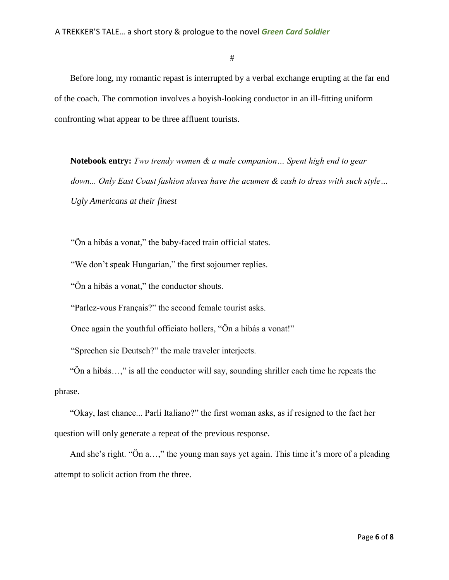#

Before long, my romantic repast is interrupted by a verbal exchange erupting at the far end of the coach. The commotion involves a boyish-looking conductor in an ill-fitting uniform confronting what appear to be three affluent tourists.

**Notebook entry:** *Two trendy women & a male companion… Spent high end to gear down... Only East Coast fashion slaves have the acumen & cash to dress with such style… Ugly Americans at their finest*

"Ön a hibás a vonat," the baby-faced train official states.

"We don't speak Hungarian," the first sojourner replies.

"Ön a hibás a vonat," the conductor shouts.

"Parlez-vous Français?" the second female tourist asks.

Once again the youthful officiato hollers, "Ön a hibás a vonat!"

"Sprechen sie Deutsch?" the male traveler interjects.

"Ön a hibás…," is all the conductor will say, sounding shriller each time he repeats the phrase.

"Okay, last chance... Parli Italiano?" the first woman asks, as if resigned to the fact her question will only generate a repeat of the previous response.

And she's right. "Ön a…," the young man says yet again. This time it's more of a pleading attempt to solicit action from the three.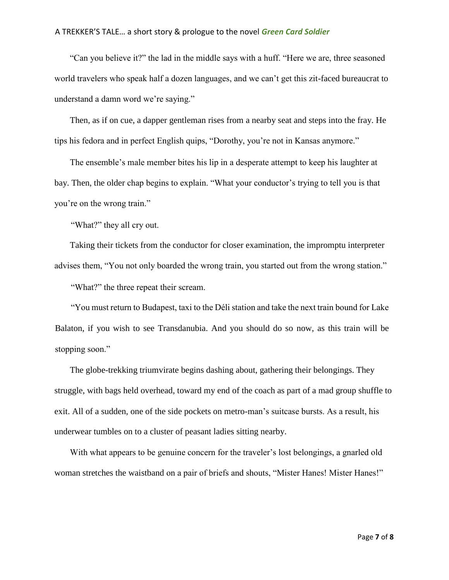## A TREKKER'S TALE… a short story & prologue to the novel *Green Card Soldier*

"Can you believe it?" the lad in the middle says with a huff. "Here we are, three seasoned world travelers who speak half a dozen languages, and we can't get this zit-faced bureaucrat to understand a damn word we're saying."

Then, as if on cue, a dapper gentleman rises from a nearby seat and steps into the fray. He tips his fedora and in perfect English quips, "Dorothy, you're not in Kansas anymore."

The ensemble's male member bites his lip in a desperate attempt to keep his laughter at bay. Then, the older chap begins to explain. "What your conductor's trying to tell you is that you're on the wrong train."

"What?" they all cry out.

Taking their tickets from the conductor for closer examination, the impromptu interpreter advises them, "You not only boarded the wrong train, you started out from the wrong station."

"What?" the three repeat their scream.

"You must return to Budapest, taxi to the Déli station and take the next train bound for Lake Balaton, if you wish to see Transdanubia. And you should do so now, as this train will be stopping soon."

The globe-trekking triumvirate begins dashing about, gathering their belongings. They struggle, with bags held overhead, toward my end of the coach as part of a mad group shuffle to exit. All of a sudden, one of the side pockets on metro-man's suitcase bursts. As a result, his underwear tumbles on to a cluster of peasant ladies sitting nearby.

With what appears to be genuine concern for the traveler's lost belongings, a gnarled old woman stretches the waistband on a pair of briefs and shouts, "Mister Hanes! Mister Hanes!"